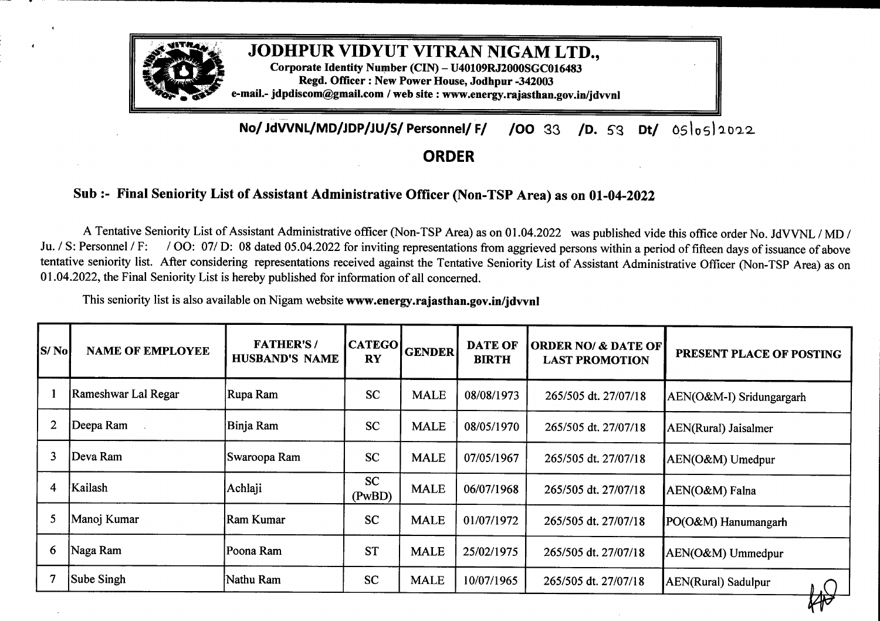

## **No/ JdVVNL/MD/JDP/JU/S/ Personnel/ F] /00** <sup>33</sup> **/D.** 3 **Dt/** 05lo5)2002

## **ORDER**

## **Sub:- Final Seniority List ofAssistant Administrative Officer (Non-TSP Area) as on 01-04-2022**

A Tentative Seniority List of Assistant Administrative officer (Non-TSP Area) as on 01.04.2022 was published vide this office order No. JdVVNL / MD /<br>Ju. / S: Personnel / F: / OO: 07/ D: 08 dated 05.04.2022 for inviting re / OO: 07/ D: 08 dated 05.04.2022 for inviting representations from aggrieved persons within a period of fifteen days of issuance of above tentative seniority list. After considering representations received against the Tentative Seniority List of Assistant Administrative Officer (Non-TSP Area) as on 01.04.2022, the Final Seniority List is hereby published for information of all concerned.

This seniority list is also available on Nigam website **www.energy.rajasthan.gov.in/jdvvnl**

| <b>S/No</b>    | <b>NAME OF EMPLOYEE</b> | <b>FATHER'S/</b><br><b>HUSBAND'S NAME</b> | <b>CATEGO</b><br><b>RY</b> | <b>GENDER</b> | <b>DATE OF</b><br><b>BIRTH</b> | <b>ORDER NO/ &amp; DATE OF</b><br><b>LAST PROMOTION</b> | PRESENT PLACE OF POSTING    |
|----------------|-------------------------|-------------------------------------------|----------------------------|---------------|--------------------------------|---------------------------------------------------------|-----------------------------|
|                | Rameshwar Lal Regar     | Rupa Ram                                  | <b>SC</b>                  | <b>MALE</b>   | 08/08/1973                     | 265/505 dt. 27/07/18                                    | AEN(O&M-I) Sridungargarh    |
| $\overline{2}$ | Deepa Ram               | Binja Ram                                 | <b>SC</b>                  | <b>MALE</b>   | 08/05/1970                     | 265/505 dt. 27/07/18                                    | <b>AEN(Rural)</b> Jaisalmer |
| 3              | Deva Ram                | Swaroopa Ram                              | <b>SC</b>                  | <b>MALE</b>   | 07/05/1967                     | 265/505 dt. 27/07/18                                    | AEN(O&M) Umedpur            |
| 4              | Kailash                 | Achlaji                                   | <b>SC</b><br>(PwBD)        | <b>MALE</b>   | 06/07/1968                     | 265/505 dt. 27/07/18                                    | AEN(O&M) Falna              |
| 5              | Manoj Kumar             | Ram Kumar                                 | <b>SC</b>                  | <b>MALE</b>   | 01/07/1972                     | 265/505 dt. 27/07/18                                    | PO(O&M) Hanumangarh         |
| 6              | Naga Ram                | Poona Ram                                 | <b>ST</b>                  | <b>MALE</b>   | 25/02/1975                     | 265/505 dt. 27/07/18                                    | AEN(O&M) Ummedpur           |
|                | Sube Singh              | Nathu Ram                                 | <b>SC</b>                  | <b>MALE</b>   | 10/07/1965                     | 265/505 dt. 27/07/18                                    | <b>AEN(Rural) Sadulpur</b>  |
|                |                         |                                           |                            |               |                                |                                                         | <b>IAP</b>                  |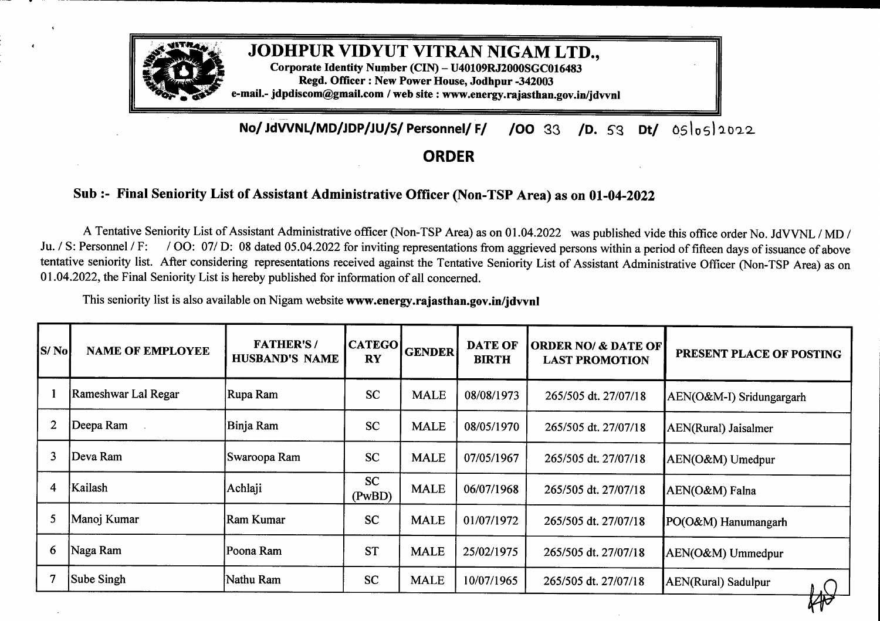| S/No | <b>NAME OF EMPLOYEE</b>    | <b>FATHER'S/</b><br><b>HUSBAND'S NAME</b> | <b>CATEGO</b><br><b>RY</b> | <b>GENDER</b> | <b>DATE OF</b><br><b>BIRTH</b> | <b>ORDER NO/ &amp; DATE OF</b><br><b>LAST PROMOTION</b> | PRESENT PLACE OF POSTING  |
|------|----------------------------|-------------------------------------------|----------------------------|---------------|--------------------------------|---------------------------------------------------------|---------------------------|
| 8    | <b>Anand Prakash Meena</b> | Durga Ram                                 | <b>ST</b><br>(PwBD)        | <b>MALE</b>   | 13/05/1969                     | 265/505 dt. 27/07/18                                    | AEN(O&M) Churu            |
| 9    | Rajender Kumar             | Mohan Lal                                 | <b>ST</b>                  | <b>MALE</b>   | 01/01/1974                     | 265/505 dt. 27/07/18                                    | SE(O&M) Sriganganagar     |
| 10   | Poona Ram                  | <b>Bagta Ram</b>                          | <b>ST</b><br>(PwBD)        | <b>MALE</b>   | 03/06/1976                     | 265/505 dt. 27/07/18                                    | SE(O&M) Barmer            |
| 11   | Khushbu Bhalla             | Vikas Bhalla                              | <b>GEN</b>                 | <b>FEMALE</b> | 31/01/1984                     | 266/506 dt. 27/07/18                                    | <b>AEN(Rural)</b> Bikaner |
| 12   | Nivedita Dhawal            | Deepak Dhawal                             | <b>SC</b>                  | <b>FEMALE</b> | 07/07/1985                     | 266/506 dt. 27/07/18                                    | DS Pension, Jodhpur       |
| 13   | Manoj Kanwar               | Rajender Singh Rathore                    | <b>GEN</b>                 | <b>FEMALE</b> | 21/04/1983                     | 266/506 dt. 27/07/18                                    | ZCE(J/Z) Jodhpur          |
| 14   | Swati Sharma               | Ambar Sharma                              | <b>GEN</b>                 | <b>FEMALE</b> | 23/06/1987                     | 266/506 dt. 27/07/18                                    | <b>ZCE Bikaner</b>        |
| 15   | Subodh Dholpuriya          | Rameshwar Lal                             | <b>SC</b>                  | <b>MALE</b>   | 17/11/1988                     | 266/506 dt. 27/07/18                                    | AO(O&M) Churu             |
| 16   | Chetan Kumar Narnoulia     | Man Singh Narnoulia                       | <b>SC</b>                  | <b>MALE</b>   | 19/07/1986                     | 266/506 dt. 27/07/18                                    | SE(O&M) Jaisalmer         |
| 17   | Jitender Kumar             | Leeladhar                                 | <b>SC</b>                  | <b>MALE</b>   | 04/12/1987                     | 266/506 dt. 27/07/18                                    | XEN(Vig/) Sriganganagar   |
| 18   | Sunita Panwar              | Sarwan Kumar Jal                          | <b>SC</b>                  | <b>FEMALE</b> | 16/04/1988                     | 266/506 dt. 27/07/18                                    | PO(DC) Bikaner            |
| 19   | Mukesh Kumar Meena         | Megh Ram Meena                            | <b>ST</b>                  | <b>MALE</b>   | 28/06/1987                     | 266/506 dt. 27/07/18                                    | <b>ZCE Barmer</b>         |
| 20   | Dalchand Meena             | Ghanshyam Meena                           | <b>ST</b>                  | <b>MALE</b>   | 10/10/1990                     | 266/506 dt. 27/07/18                                    | AEN(O&M) Tehandesar       |
| 21   | Yogita Meena               | Ram Swaroop Meena                         | <b>ST</b>                  | <b>FEMALE</b> | 29/08/1985                     | 266/506 dt. 27/07/18                                    | On Deputation RVUVNL      |
| 22   | <b>Sumer Singh Meena</b>   | Ramswaroop Meena                          | <b>ST</b>                  | <b>MALE</b>   | 10/01/1988                     | 266/506 dt. 27/07/18                                    | AEN(O&M) Bar              |
| 23   | Gopu Puri                  | Narain Puri                               | <b>GEN</b>                 | <b>MALE</b>   | 01/07/1963                     | 36/114 dt 25.06.2020                                    | AEN (O&M) Pipaliya        |
| 24   | <b>Sher Singh</b>          | Govind Singh                              | <b>GEN</b>                 | <b>MALE</b>   | 02/05/1963                     | 265/505 dt. 27/07/18                                    | AEN(O&M) Bilara<br>$N\!M$ |

 $\sim$ 

 $- -$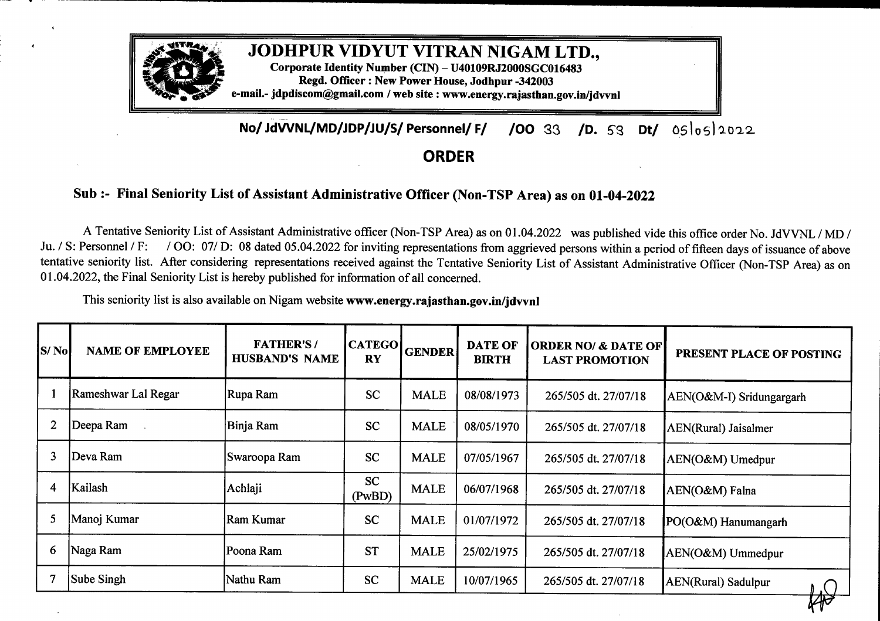| S/No | <b>NAME OF EMPLOYEE</b> | <b>FATHER'S/</b><br><b>HUSBAND'S NAME</b> | <b>CATEGO</b><br>$\mathbf{R}\mathbf{Y}$ | <b>GENDER</b> | <b>DATE OF</b><br><b>BIRTH</b> | <b>ORDER NO/ &amp; DATE OF</b><br><b>LAST PROMOTION</b> | PRESENT PLACE OF POSTING      |
|------|-------------------------|-------------------------------------------|-----------------------------------------|---------------|--------------------------------|---------------------------------------------------------|-------------------------------|
| 25   | <b>Shiv Ram</b>         | Chagan Lal                                | <b>GEN</b>                              | <b>MALE</b>   | 02/10/1967                     | 265/505 dt. 27/07/18                                    | <b>AEN(Rural)</b> Bikaner     |
| 26   | Madan Mohan Suthar      | Dashrath Lal                              | <b>GEN</b>                              | <b>MALE</b>   | 30/08/1963                     | 265/505 dt. 27/07/18                                    | Sr.AO(B/Z) Bikaner            |
| 27   | Om Prakash Chouhan      | Likhma Ram                                | <b>SC</b>                               | <b>MALE</b>   | 03/08/1966                     | 80/193 dt. 12/03/2020                                   | XENO&M) Sangaria              |
| 28   | Raj Kumar               | Ramesh Kumar                              | <b>SC</b>                               | <b>MALE</b>   | 28/08/1971                     | 80/193 dt. 12/03/2020                                   | AEN(O&M) Gharsana             |
| 29   | <b>Bhoop Singh</b>      | Tehla Singh                               | <b>SC</b>                               | <b>MALE</b>   | 11/08/1971                     | 80/193 dt. 12/03/2020                                   | <b>AEN(Rural)</b> Suratgarh   |
| 30   | Suman Daderwal          | Jai Ram Daderwal                          | <b>BC</b>                               | <b>FEMALE</b> | 28/02/1988                     | 81/194 dt. 12/03/2020                                   | <b>ZCE Bikaner</b>            |
| 31   | Hans Raj                | <b>Badri Prasad</b>                       | <b>BC</b><br>(PwBD)                     | <b>MALE</b>   | 01/01/1990                     | 81/194 dt. 12/03/2020                                   | PO(O&M) Sriganganagar         |
| 32   | Sonia Singh             | Girdhari Lal Dailla                       | <b>BC</b>                               | <b>FEMALE</b> | 05/07/1986                     | 81/194 dt. 12/03/2020                                   | <b>AEN(Rural) Churu</b>       |
| 33   | Priyanka Sevta          | Krishan Kumar Sevta                       | <b>BC</b>                               | <b>FEMALE</b> | 17/11/1990                     | 81/194 dt. 12/03/2020                                   | AEN(O&M) Nohar                |
| 34   | Dimple Ramchandani      | Vasudev Ramchandani                       | <b>SC</b>                               | <b>FEMALE</b> | 14/07/1988                     | 81/194 dt. 12/03/2020                                   | <b>AEN(Rural)</b> Bikaner     |
| 35   | Narendra Kumar          | Hari Singh                                | <b>ST</b>                               | <b>MALE</b>   | 12/09/1986                     | 81/194 dt. 12/03/2020                                   | PO(DC) Jodhpur                |
| 36   | Deshraj Meena           | Prem Singh Meena                          | <b>ST</b>                               | <b>MALE</b>   | 08/07/1991                     | 81/194 dt. 12/03/2020                                   | AEN(City-II) Barmer           |
| 37   | Ruchi                   | Mohan Lal Kairon                          | <b>ST</b>                               | <b>FEMALE</b> | 08/12/1987                     | 81/194 dt. 12/03/2020                                   | AEN(C-I) Sriganaganagar       |
| 38   | Likhama Ram Jakhar      | Ananda Ram Jakhar                         | BC                                      | <b>MALE</b>   | 08/06/1966                     | 81/194 dt. 12/03/2020                                   | AEN(Vig/DC) Jodhpur           |
| 39   | Sunil Arha              | Kailash Dan                               | <b>BC</b>                               | <b>MALE</b>   | 05/01/1983                     | 81/194 dt. 12/03/2020                                   | AEN(CSD-B-VI) Jodhpur         |
| 40   | Rajesh Prajapat         | Late Sukhdev Prajapat                     | BC                                      | <b>MALE</b>   | 16/09/1975                     | 81/194 dt. 12/03/2020                                   | AEN(CSD-D-I), Jodhpur         |
| 41   | Anil Kulria<br>$\sim$   | Raja Ram Kulria                           | BC<br>$\sim$                            | <b>MALE</b>   | 18/10/1982                     | 81/194 dt. 12/03/2020                                   | AEN(O&M) Srivijaynagar<br>╫╫╁ |

*N'JY*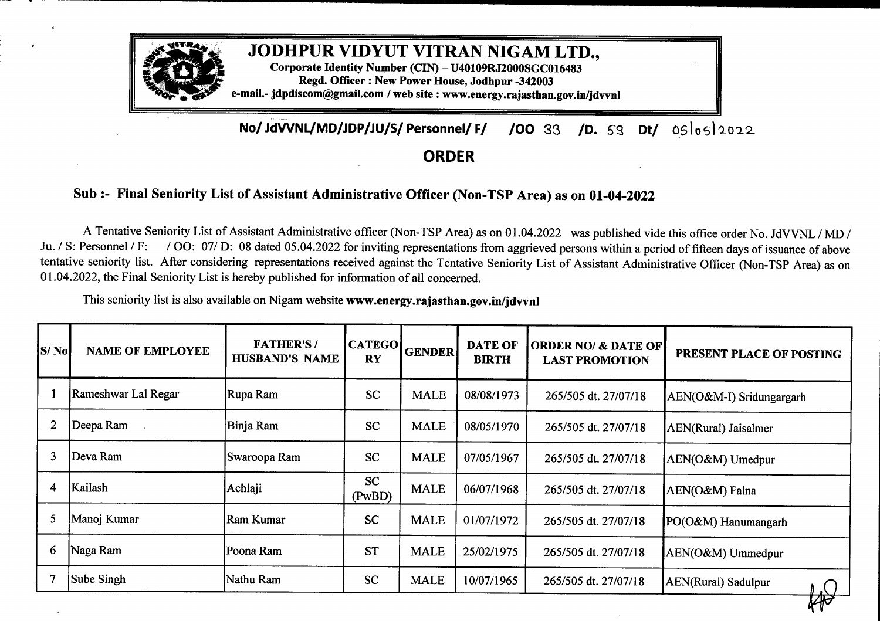| $ S/N_0 $ | <b>NAME OF EMPLOYEE</b> | <b>FATHER'S/</b><br><b>HUSBAND'S NAME</b> | <b>CATEGO</b><br><b>RY</b> | <b>GENDER</b> | <b>DATE OF</b><br><b>BIRTH</b> | <b>ORDER NO/ &amp; DATE OF</b><br><b>LAST PROMOTION</b> | PRESENT PLACE OF POSTING    |
|-----------|-------------------------|-------------------------------------------|----------------------------|---------------|--------------------------------|---------------------------------------------------------|-----------------------------|
| 42        | Manish                  | Jagdish Chandra                           | <b>BC</b>                  | <b>MALE</b>   | 17/04/1987                     | 81/194 dt. 12/03/2020                                   | AEN(CRP-III) Jodhpur        |
| 43        | Raj Kumar Tak           | Joga Ram Tak                              | <b>BC</b>                  | <b>MALE</b>   | 15/03/1990                     | 81/194 dt. 12/03/2020                                   | XEN(DD) Jodhpur             |
| 44        | Tej Prakash             | Durga Ram Choudhary                       | <b>BC</b>                  | <b>MALE</b>   | 16/10/1988                     | 81/194 dt. 12/03/2020                                   | AEN(O&M) Hatundi            |
| 45        | Bhojraj Jangid          | Nangaram Jangid                           | BC                         | <b>MALE</b>   | 28/01/1987                     | 81/194 dt. 12/03/2020                                   | <b>ACOS Barmer</b>          |
| 46        | Sameena Bhati           | Mohammad Iqbal                            | <b>GEN</b>                 | <b>FEMALE</b> | 27/10/1991                     | 81/194 dt. 12/03/2020                                   | <b>ZCE Bikaner</b>          |
| 47        | Meghana Bhati           | <b>Anand Singh Bhati</b>                  | BC                         | <b>FEMALE</b> | 01/05/1989                     | 81/194 dt. 12/03/2020                                   | XEN(M&P-II) Jodhpur         |
| 48        | Jitendra Goyal          | Dana Ram Goyal                            | <b>SC</b>                  | <b>MALE</b>   | 02/11/1981                     | 81/194 dt. 12/03/2020                                   | SE(M&P-ZPC) Bikaner         |
| 49        | Raj Kumar Singh         | Megh Singh                                | <b>GEN</b>                 | <b>MALE</b>   | 01/04/1971                     | 80/193 dt. 12/03/2020                                   | AEN(CSD-B-V) Boranada       |
| 50        | Prabha Prajapat         | Keshav Kumar Prajapat                     | <b>OBC</b>                 | <b>FEMALE</b> | 26/03/1969                     | 80/193 dt. 12/03/2020                                   | AEN(CSD-A-II) Jodhpur       |
| 51        | Man Mohan Singh         | <b>Amar Singh</b>                         | <b>GEN</b>                 | <b>MALE</b>   | 05/07/1963                     | 80/193 dt. 12/03/2020                                   | PO(DC) Bikaner              |
| 52        | Bhiv Raj Sankhla        | Prema Ram                                 | <b>GEN</b>                 | <b>MALE</b>   | 05/05/1972                     | 80/193 dt. 12/03/2020                                   | AEN(CSD-C-IV) Jodhpur       |
| 53        | Manohar Singh Bhati     | Hindu Singh Bhati                         | <b>GEN</b>                 | <b>MALE</b>   | 15/07/1971                     | 80/193 dt. 12/03/2020                                   | AEN(O&M) Balesar            |
| 54        | Shiv Kishore Maru       | Madan Mohan                               | OBC                        | <b>MALE</b>   | 09/11/1966                     | 80/193 dt. 12/03/2020                                   | AEN(O&M) Kolayat            |
| 55        | Rashul Khan             | Sagar Khan                                | <b>GEN</b>                 | <b>MALE</b>   | 06/06/1966                     | 80/193 dt. 12/03/2020                                   | <b>AEN(Rural) Ratangarh</b> |
| 56        | Yogendra Kr.Shrimali    | Chhotu Lal                                | <b>GEN</b>                 | <b>MALE</b>   | 03/08/1973                     | 80/193 dt. 12/03/2020                                   | <b>SE(DC)</b> Bikaner       |
| 57        | Manohar Singh           | <b>Gopal Singh</b>                        | <b>GEN</b>                 | <b>MALE</b>   | 07/05/1969                     | 80/193 dt. 12/03/2020                                   | XEN(Vig/) Pali              |
| 58        | <b>Bhagat Ram</b>       | Arjun Ram                                 | <b>GEN</b>                 | <b>MALE</b>   | 01/07/1971                     | 80/193 dt. 12/03/2020                                   | XEN(DD) Sriganganagar       |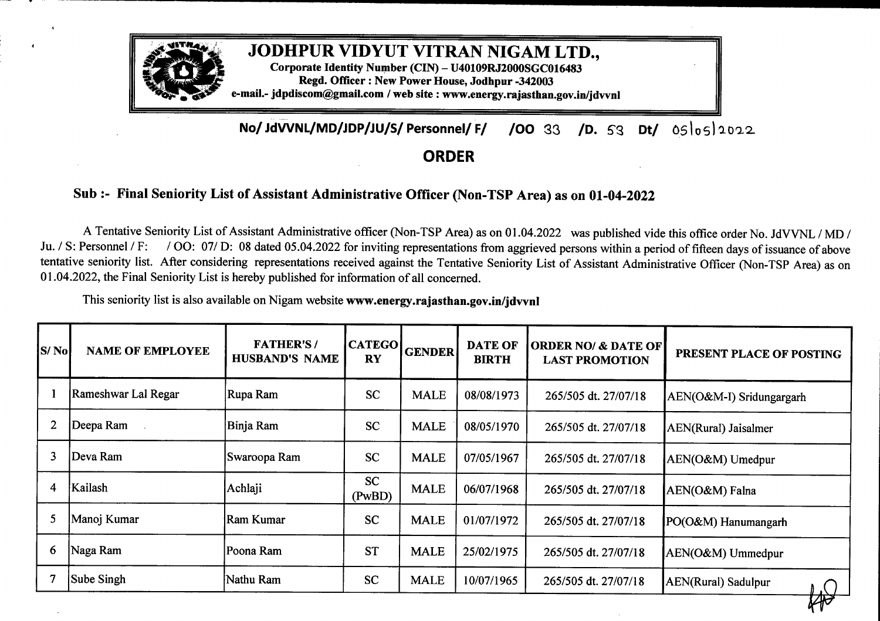| S/No | <b>NAME OF EMPLOYEE</b> | <b>FATHER'S/</b><br><b>HUSBAND'S NAME</b> | <b>CATEGO</b><br><b>RY</b> | <b>GENDER</b> | <b>DATE OF</b><br><b>BIRTH</b> | <b>ORDER NO/ &amp; DATE OF</b><br><b>LAST PROMOTION</b> | PRESENT PLACE OF POSTING    |
|------|-------------------------|-------------------------------------------|----------------------------|---------------|--------------------------------|---------------------------------------------------------|-----------------------------|
| 59   | Suja Ram                | Doongar Ram                               | <b>OBC</b>                 | <b>MALE</b>   | 03/05/1972                     | 80/193 dt. 12/03/2020                                   | XEN(O&M) Balotra            |
| 60   | Satya Prakash Vyas      | <b>Bhagwan Dutt</b>                       | <b>GEN</b>                 | <b>MALE</b>   | 25/09/1964                     | 80/193 dt. 12/03/2020                                   | XEN(DD-I) Bikaner           |
| 61   | Lok Nath                | Dhan Raj Sharma                           | <b>GEN</b>                 | <b>MALE</b>   | 15/05/1966                     | 80/193 dt. 12/03/2020                                   | <b>AEN(Rural)</b> Suratgarh |
| 62   | Anoop Singh             | <b>Bhoor Singh</b>                        | <b>GEN</b>                 | <b>MALE</b>   | 02/01/1974                     | 80/193 dt. 12/03/2020                                   | <b>AEN(Rural) Churu</b>     |
| 63   | Moti Lal                | Ram Chandra ji                            | <b>GEN</b>                 | <b>MALE</b>   | 01/06/1973                     | 80/193 dt. 12/03/2020                                   | SE(O&M) Pali                |
| 64   | <b>Amar Nath</b>        | Tejnath                                   | OBC                        | <b>MALE</b>   | 26/05/1972                     | 80/193 dt. 12/03/2020                                   | XEN(O&M) Bilara             |
| 65   | Shameem Quadri          | Hasan Quadri                              | <b>GEN</b>                 | <b>MALE</b>   | 01/01/1965                     | 80/193 dt. 12/03/2020                                   | XEN(DD-II) Bikaner          |
| 66   | Kana Ram Saini          | Jhaber Mal                                | <b>GEN</b>                 | <b>MALE</b>   | 10/03/1970                     | 80/193 dt. 12/03/2020                                   | AEN(O&M) Churu              |
| 67   | Prakash Chand           | Keshri Mal Suthar                         | <b>OBC</b>                 | <b>MALE</b>   | 07/07/1973                     | 80/193 dt. 12/03/2020                                   | AO(O&M) Pali                |
| 68   | Amrit Lal               | Moda Ram                                  | <b>SC</b><br>(PwBD)        | <b>MALE</b>   | 07/07/1970                     | 39/117 dt. 25/06/2020                                   | AEN (O&M) Desuri            |
| 69   | Chunni Lal              | Prema Ram                                 | <b>SC</b><br>(PwBD)        | <b>MALE</b>   | 12/10/1967                     | 39/117 dt. 25/06/2020                                   | AEN (O&M) Sadri             |
| 70   | Jawari Lal              | Madan Lal                                 | <b>SC</b>                  | <b>MALE</b>   | 01/07/1966                     | 45/128 dt. 07/07/2020                                   | AEN (O&M) Anandpur Kalu     |
| 71   | Mota Ram                | Natha Ram                                 | <b>SC</b><br>(PwBD)        | <b>MALE</b>   | 02/04/1966                     | 45/128 dt. 07/07/2020                                   | AEN (O&M) Nana              |
| 72   | Mangu Dan               | Kav Dan                                   | <b>OBC</b>                 | <b>MALE</b>   | 01/01/1972                     | 39/117 dt. 25/06/2020                                   | AEN (CSD-II) Barmer         |
| 73   | Kushala Ram             | Sagra Ram                                 | OBC                        | <b>MALE</b>   | 02/05/1972                     | 39/117 dt. 25/06/2020                                   | AEN (CSD-II) Barmer         |
| 74   | Bhopa Ram               | Jodha Ram                                 | <b>GEN</b>                 | <b>MALE</b>   | 01/03/1971                     | 39/117 dt. 25/06/2020                                   | AEN (O&M) Sindhari          |
| 75   | Bhagwana Ram            | Chala ji                                  | OBC                        | <b>MALE</b>   | 30/06/1964                     | 39/117 dt. 25/06/2020                                   | AEN (O&M) Bagra             |
| 76   | Rajendra Singh          | <b>Bharat Singh</b>                       | <b>GEN</b>                 | <b>MALE</b>   | 29/07/1965                     | 39/117 dt. 25/06/2020                                   | AEN (O&M) Mathania<br>AAQ   |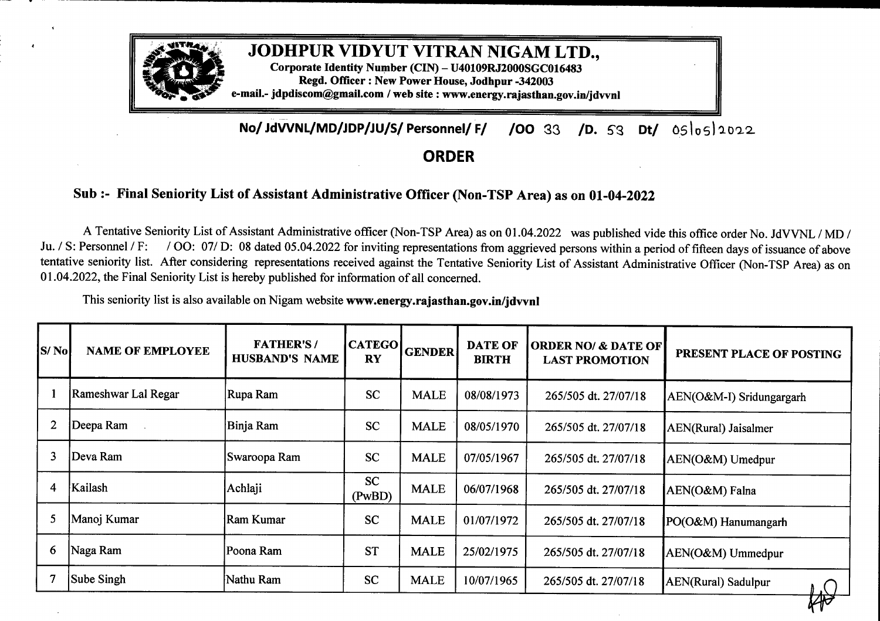| S/No | <b>NAME OF EMPLOYEE</b> | <b>FATHER'S/</b><br><b>HUSBAND'S NAME</b> | <b>CATEGO</b><br><b>RY</b> | <b>GENDER</b> | <b>DATE OF</b><br><b>BIRTH</b> | <b>ORDER NO/ &amp; DATE OF</b><br><b>LAST PROMOTION</b> | PRESENT PLACE OF POSTING      |
|------|-------------------------|-------------------------------------------|----------------------------|---------------|--------------------------------|---------------------------------------------------------|-------------------------------|
| 77   | Sunil Jha               | Babu Lal                                  | <b>GEN</b>                 | <b>MALE</b>   | 31/01/1964                     | 39/117 dt. 25/06/2020                                   | AEN (O&M) Osian               |
| 78   | Sajan Raj               | Dhanna Ram                                | <b>GEN</b><br>(PwBD)       | <b>MALE</b>   | 12/07/1965                     | 39/117 dt. 25/06/2020                                   | AEN (O&M) Sojat City          |
| 79   | Nena ram                | Dhagala Ram                               | <b>GEN</b><br>(PwBD)       | <b>MALE</b>   | 20/11/1971                     | 39/117 dt. 25/06/2020                                   | XEN (O&M) Sojat City          |
| 80   | Sunder Singh            | Vijay Singh                               | <b>GEN</b><br>(PwBD)       | <b>MALE</b>   | 06/08/1967                     | 39/117 dt. 25/06/2020                                   | AEN (O&M) Bali                |
| 81   | Mangi Lal               | Prema Ram                                 | <b>GEN</b><br>(PwBD)       | <b>MALE</b>   | 01/07/1969                     | 39/117 dt. 25/06/2020                                   | AEN (O&M) Bali                |
| 82   | <b>Badar Singh</b>      | Udai Singh                                | <b>GEN</b><br>(PwBD)       | <b>MALE</b>   | 04/07/1965                     | 39/117 dt. 25/06/2020                                   | AEN (O&M) Sojat City          |
| 83   | Raj Kumar               | Vijay Kumarji Biyani                      | <b>GEN</b><br>(PwBD)       | <b>MALE</b>   | 30/06/1969                     | 39/117 dt. 25/06/2020                                   | XEN (O&M) Pali                |
| 84   | Ugama Ram               | Khiva Ram                                 | <b>GEN</b><br>(PwBD)       | <b>MALE</b>   | 06/01/1971                     | 39/117 dt. 25/06/2020                                   | AEN (O&M) Sojat Road          |
| 85   | Pema Ram                | Heera Ram                                 | <b>GEN</b><br>(PwBD)       | <b>MALE</b>   | 01/07/1965                     | 39/117 dt. 25/06/2020                                   | AEN (O&M) Rani                |
| 86   | Rakesh Beri             | Munshi Ram                                | <b>GEN</b>                 | <b>MALE</b>   | 07/07/1971                     | 39/117 dt. 25/06/2020                                   | <b>XEN</b> (CD) Sriganganagar |
| 87   | Mohan Lal               | Bega Ram                                  | <b>OBC</b>                 | <b>MALE</b>   | 15/06/1970                     | 39/117 dt. 25/06/2020                                   | AEN (O&M) Suratgarh           |
| 88   | Deepak Bansal           | Narender Mohan                            | <b>GEN</b>                 | <b>MALE</b>   | 16/03/1970                     | 39/117 dt. 25/06/2020                                   | ACOS, Sriganganagar           |
| 89   | Deepak Gupta            | Sant Lal                                  | <b>GEN</b>                 | <b>MALE</b>   | 15/08/1971                     | 39/117 dt. 25/06/2020                                   | AEN (Rural) Sriganganagar     |
| 90   | <b>Krishan Chand</b>    | Ami Chand                                 | OBC                        | <b>MALE</b>   | 05/01/1973                     | 39/117 dt. 25/06/2020                                   | AEN (O&M) Keshrisinghpur      |
| 91   | Kamla Gehlot            | Badri Narayan                             | <b>GEN</b>                 | <b>FEMALE</b> | 01/09/1974                     | 39/117 dt. 25/06/2020                                   | AEN (CSD-D-IV) Jodhpur        |
| 92   | Mohd.Yusuf              | Habib Ahmed                               | <b>GEN</b>                 | <b>MALE</b>   | 12/02/1974                     | 39/117 dt. 25/06/2020                                   | XEN (O&M) Falna               |
| 93   | Mamta Arya              | Babulal Arya                              | <b>OBC</b><br>(PwBD)       | <b>FEMALE</b> | 17/11/1971                     | 39/117 dt. 25/06/2020                                   | AEN (O&M) Sheoganj            |
|      |                         |                                           |                            |               |                                |                                                         |                               |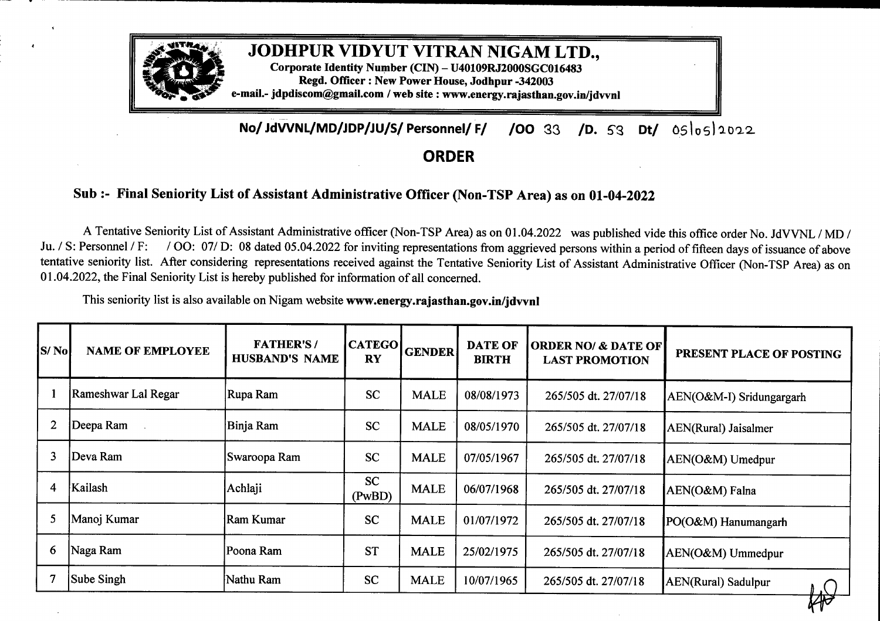| S/No       | <b>NAME OF EMPLOYEE</b> | <b>FATHER'S/</b><br><b>HUSBAND'S NAME</b> | <b>CATEGO</b><br><b>RY</b> | <b>GENDER</b> | <b>DATE OF</b><br><b>BIRTH</b> | <b>ORDER NO/ &amp; DATE OF</b><br><b>LAST PROMOTION</b> | PRESENT PLACE OF POSTING     |
|------------|-------------------------|-------------------------------------------|----------------------------|---------------|--------------------------------|---------------------------------------------------------|------------------------------|
| 94         | Hameer Singh            | Hari Singh                                | <b>GEN</b>                 | <b>MALE</b>   | 08/10/1971                     | 39/117 dt. 25/06/2020                                   | AO (O&M) Hanumangarh         |
| 95         | Anna Ram Punia          | Taru Ram                                  | <b>OBC</b>                 | <b>MALE</b>   | 25/06/1972                     | 39/117 dt. 25/06/2020                                   | <b>AEN</b> (Rural) Ratangarh |
| 96         | <b>Bajrang Lal</b>      | Mal Chand                                 | <b>GEN</b>                 | <b>MALE</b>   | 01/07/1964                     | 39/117 dt. 25/06/2020                                   | AEN (O&M) Bidasar            |
| 97         | Mohd. Akram             | Alimudeen                                 | <b>GEN</b>                 | <b>MALE</b>   | 04/06/1971                     | 39/117 dt. 25/06/2020                                   | SE (O&M) Churu               |
| 98         | Babu Lal                | Roop Chand                                | <b>GEN</b>                 | <b>MALE</b>   | 01/05/1970                     | 39/117 dt. 25/06/2020                                   | PO (O&M) Churu               |
| 99         | Deva Ram                | Lala Ram                                  | <b>OBC</b><br>(PwBD)       | <b>MALE</b>   | 10/03/1970                     | 39/117 dt. 25/06/2020                                   | AEN (O&M) Siwana             |
| 100        | <b>Khet Singh</b>       | Tagtat singh                              | <b>GEN</b>                 | <b>MALE</b>   | 01/03/1968                     | 39/117 dt. 25/06/2020                                   | AEN (O&M) Pokaran            |
| 101        | Mangi Lal               | Tara Chand                                | <b>GEN</b><br>(PwBD)       | <b>MALE</b>   | 06/01/1967                     | 39/117 dt. 25/06/2020                                   | AEN (CSD-I) Barmer           |
| 102        | Narendra Kumar          | Dau Dayal                                 | <b>GEN</b><br>(PwBD)       | <b>MALE</b>   | 01/11/1965                     | 39/117 dt. 25/06/2020                                   | AEN (CSD-I) Barmer           |
| 103        | Vinod Kumar Nain        | <b>Birbal Ram Nain</b>                    | OBC                        | <b>MALE</b>   | 29/06/1969                     | 39/117 dt. 25/06/2020                                   | XEN (O&M) Nohar              |
| 104        | Sajid Ahmed             | <b>Ishtivak Ahmed</b>                     | <b>GEN</b>                 | <b>MALE</b>   | 20/07/1973                     | 39/117 dt. 25/06/2020                                   | XEN (DD-II) Bikaner          |
| 105        | Ahmed Hussain           | Barkat Ali                                | <b>GEN</b>                 | <b>MALE</b>   | 07/07/1974                     | 39/117 dt. 25/06/2020                                   | XEN (C) Jodhpur              |
|            | 106   Bhajan Lal        | <b>Shankar Das</b>                        | <b>GEN</b>                 | <b>MALE</b>   | 05/02/1965                     | 39/117 dt. 25/06/2020                                   | AO (O&M) Jaisalmer           |
|            | 107 Poonam Puri         | Mangal Puri                               | <b>GEN</b><br>(PwBD)       | <b>MALE</b>   | 03/01/1972                     | 39/117 dt. 25/06/2020                                   | AEN (O&M) Padru              |
|            | 108 Ashu Ram Solanki    | Moda Ram Solanki                          | <b>OBC</b>                 | <b>MALE</b>   | 01/08/1968                     | 39/117 dt. 25/06/2020                                   | ZCE (BZ) Bikaner             |
|            | 109   Ram Ratan         | Kurda Ram                                 | <b>OBC</b><br>(PwBD)       | <b>MALE</b>   | 15/01/1972                     | 39/117 dt. 25/06/2020                                   | SE (O&M) Hanumangarh         |
| <b>110</b> | Sarwan Kumar            | Ganpat Lal                                | <b>OBC</b><br>(PwBD)       | <b>MALE</b>   | 13/05/1967                     | 39/117 dt. 25/06/2020                                   | AO (DC) Jodhpur              |
|            |                         |                                           |                            |               |                                |                                                         | لاما∕ ⁄ا                     |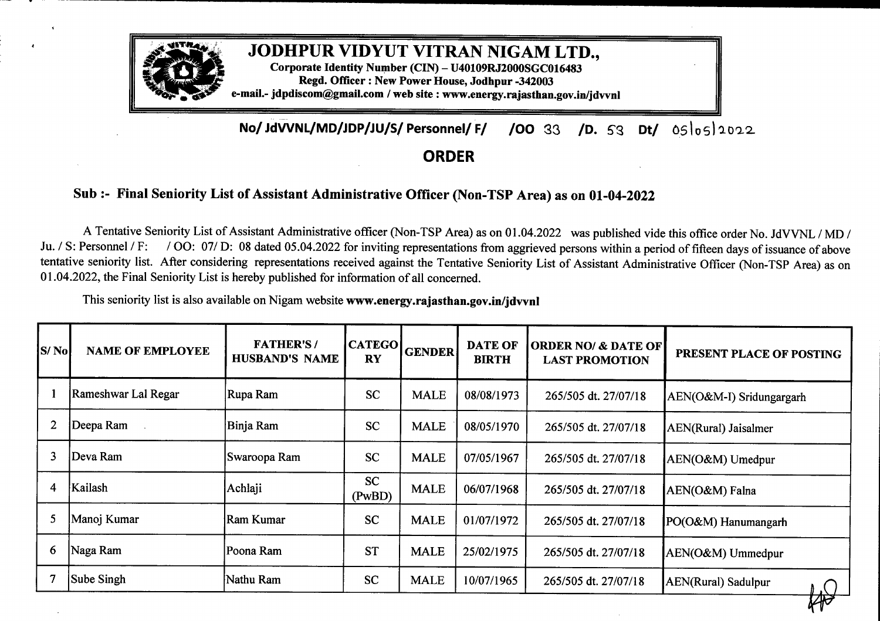| S/No | <b>NAME OF EMPLOYEE</b>    | <b>FATHER'S/</b><br><b>HUSBAND'S NAME</b> | <b>CATEGO</b><br><b>RY</b> | <b>GENDER</b> | <b>DATE OF</b><br><b>BIRTH</b> | <b>ORDER NO/ &amp; DATE OF</b><br><b>LAST PROMOTION</b> | PRESENT PLACE OF POSTING |
|------|----------------------------|-------------------------------------------|----------------------------|---------------|--------------------------------|---------------------------------------------------------|--------------------------|
| 111  | Varda Ram                  | Dharmaji Kumhar                           | <b>OBC</b><br>(PwBD)       | <b>MALE</b>   | 01/04/1967                     | 39/117 dt. 25/06/2020                                   | SE (O&M) Sirohi          |
| 112  | Devi Singh                 | Prabhu Singh                              | <b>GEN</b><br>(PwBD)       | <b>MALE</b>   | 20/06/1963                     | 39/117 dt. 25/06/2020                                   | XEN (O&M) Falna          |
| 113  | Ghanshyam                  | Mangi Lal Agarwal                         | <b>GEN</b>                 | <b>MALE</b>   | 05/07/1968                     | 39/117 dt. 25/06/2020                                   | AEN (O&M) Falna          |
| 114  | <b>Manak Chand</b>         | Jodh Ram                                  | <b>GEN</b><br>(PwBD)       | <b>MALE</b>   | 01/06/1962                     | 39/117 dt. 25/06/2020                                   | AEN (O&M) Sojat Road     |
| 115  | Anop Singh                 | Laxman Singh                              | <b>GEN</b>                 | <b>MALE</b>   | 12/08/1968                     | 39/117 dt. 25/06/2020                                   | AEN (O&M) Sadri          |
| 116  | Narayan Singh              | Sohan Singh                               | <b>GEN</b><br>(PwBD)       | <b>MALE</b>   | 04/01/1964                     | 39/117 dt. 25/06/2020                                   | AEN (O&M) Sumerpur       |
| 117  | Hema Ram                   | Dhagla Ram                                | <b>GEN</b><br>(PwBD)       | <b>MALE</b>   | 27/12/1962                     | 39/117 dt. 25/06/2020                                   | AEN (O&M) Sojat Road     |
| 118  | Naina Ram                  | Manroop                                   | <b>GEN</b><br>(PwBD)       | <b>MALE</b>   | 21/08/1965                     | 39/117 dt. 25/06/2020                                   | AEN (O&M) Bali           |
| 119  | Ram Lal                    | Poona Ram                                 | <b>GEN</b><br>(PwBD)       | <b>MALE</b>   | 25/08/1964                     | 39/117 dt. 25/06/2020                                   | AEN (O&M) Jaitaran       |
| 120  | Dhruv Bhakt                | Roop Raj                                  | <b>GEN</b><br>(PwBD)       | <b>MALE</b>   | 05/09/1970                     | 39/117 dt. 25/06/2020                                   | CAO (B&R) Jodhpur        |
| 121  | Suman Kanwar               | <b>Bhoor Singh</b>                        | <b>GEN</b>                 | <b>FEMALE</b> | 19/09/1991                     | 40/118 dt. 25/06/2020                                   | SE (TW) Jodhpur          |
| 122  | Ravindra Kumar Jeengar     | Jethmal Jeengar                           | <b>SC</b>                  | <b>MALE</b>   | 22/10/1987                     | 46/129 dt. 07/07/2020                                   | AEN(O&M), Sumerpur       |
| 123  | Vijay Kumar                | Kedar Nath                                | <b>GEN</b><br>(PwBD)       | <b>MALE</b>   | 07/07/1981                     | 40/118 dt. 25/06/2020                                   | AEN (O&M), Goluwala      |
|      | 124 Gokul Singh Rajpurohit | <b>Ram Singh Rajpurohit</b>               | <b>GEN</b>                 | <b>MALE</b>   | 12/08/1963                     | 40/118 dt. 25/06/2020                                   | AEN (CSD-A-VI) Jodhpur   |
| 125  | Sarita Kanwer              | Vikram Singh Rathore                      | GEN-W                      | <b>FEMALE</b> | 15/08/1983                     | 40/118 dt. 25/06/2020                                   | XEN (O&M) Churu          |
|      | 126 Chauthu Ram            | Ghisa Ram ji                              | SC<br>(PwBD)               | <b>MALE</b>   | 17/06/1968                     | 41/122 dt. 26/07/2021                                   | PO (O&M) Pali            |
| 127  | Jetha Ram                  | Hansa Ram                                 | OBC<br>(PwBD)              | <b>MALE</b>   | 22/08/1968                     | 41/122 dt. 26/07/2021                                   | AEN (O&M) Desuri<br>KN   |

**Contract** 

 $\bullet$ 

 $\sim$  10  $\pm$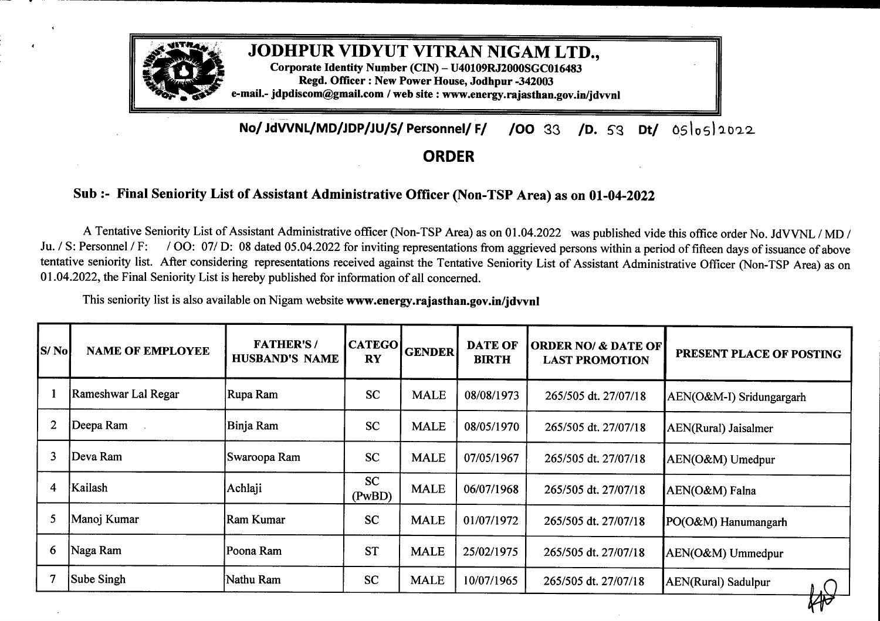| S/No | <b>NAME OF EMPLOYEE</b> | <b>FATHER'S/</b><br><b>HUSBAND'S NAME</b> | <b>CATEGO</b><br><b>RY</b> | <b>GENDER</b> | <b>DATE OF</b><br><b>BIRTH</b> | <b>ORDER NO/ &amp; DATE OF</b><br><b>LAST PROMOTION</b> | PRESENT PLACE OF POSTING |
|------|-------------------------|-------------------------------------------|----------------------------|---------------|--------------------------------|---------------------------------------------------------|--------------------------|
| 128  | Pokar Ram               | Pukha Ram                                 | <b>OBC</b><br>(PwBD)       | <b>MALE</b>   | 26/10/1967                     | 41/122 dt. 26/07/2021                                   | AEN (O&M) Sojat Road     |
| 129  | Harta Ram               | Teja Ram                                  | <b>GEN</b><br>(PwBD)       | <b>MALE</b>   | 12/10/1966                     | 41/122 dt. 26/07/2021                                   | AEN (O&M) Bali           |
| 130  | <b>Amar Singh</b>       | Jalam Singh                               | <b>OBC</b><br>(PwBD)       | <b>MALE</b>   | 09/05/1967                     | 41/122 dt. 26/07/2021                                   | AEN (O&M) Sadri          |
| 131  | Jabar Singh             | <b>Swaroop Singh</b>                      | <b>GEN</b><br>(PwBD)       | <b>MALE</b>   | 15/09/1965                     | 41/122 dt. 26/07/2021                                   | AEN (O&M) Swaroopganj    |
| 132  | Prakash Chand           | Dalpat Ram                                | <b>GEN</b><br>(PwBD)       | <b>MALE</b>   | 15/08/1966                     | 41/122 dt. 26/07/2021                                   | AEN (O&M) Swaroopganj    |
| 133  | Kan Singh               | <b>Jagat Singh</b>                        | <b>GEN</b><br>(PwBD)       | <b>MALE</b>   | 15/02/1966                     | 41/122 dt. 26/07/2021                                   | AEN (O&M) Swaroopganj    |
|      | 134  Devi lal           | Bhanwar Ji                                | <b>GEN</b>                 | <b>MALE</b>   | 10/03/1969                     | 41/122 dt. 26/07/2021                                   | AEN (CSD-II) Pali        |
| 135  | Ganga Singh Deora       | Kesher Singh                              | <b>GEN</b><br>(PwBD)       | <b>MALE</b>   | 16/01/1964                     | 41/122 dt. 26/07/2021                                   | AEN (O&M) Mandar         |
| 136  | <b>Ramesh Kumar</b>     | Jawana Ramji                              | <b>OBC</b><br>(PwBD)       | <b>MALE</b>   | 10/11/1969                     | 41/122 dt. 26/07/2021                                   | AEN (O&M) Takhatgarh     |
| 137  | Dinesh Kumar Purohit    | Munna Lal                                 | <b>GEN</b><br>(PwBD)       | <b>MALE</b>   | 06/06/1968                     | 41/122 dt. 26/07/2021                                   | AEN (O&M) Pindwara       |
| 138  | Vikaram singh Deora     | <b>Takhat Singh</b>                       | <b>GEN</b><br>(PwBD)       | <b>MALE</b>   | 01/05/1972                     | 41/122 dt. 26/07/2021                                   | AEN (O&M) Sheoganj       |
| 139  | Ashwani Kumar           | Magan Lal                                 | <b>OBC</b><br>(PwBD)       | <b>MALE</b>   | 04/06/1967                     | 41/122 dt. 26/07/2021                                   | AEN (O&M) Sheoganj       |
| 140  | Mohan Lal               | Deepaji                                   | <b>OBC</b><br>(PwBD)       | <b>MALE</b>   | 02/02/1965                     | 41/122 dt. 26/07/2021                                   | AEN (O&M) Reodar         |
| 141  | Kailash Soni            | Prem Raj                                  | <b>GEN</b><br>(PwBD)       | <b>MALE</b>   | 05/09/1966                     | 41/122 dt. 26/07/2021                                   | AEN (C-I) SGNR           |
| 142  | <b>Ishwar Singh</b>     | Raju Singh                                | <b>GEN</b>                 | <b>MALE</b>   | 09/09/1976                     | 41/122 dt. 26/07/2021                                   | AEN (O&M) Sedwa          |
| 143  | Ashok Kumar             | <b>Bhoor Chand</b>                        | <b>GEN</b>                 | <b>MALE</b>   | 17/06/1965                     | 41/122 dt. 26/07/2021                                   | AEN (O&M) Chohatan       |
|      |                         |                                           |                            |               |                                |                                                         | ANY                      |

 $\sim$ 

 $\mathcal{A}^{\pm}$